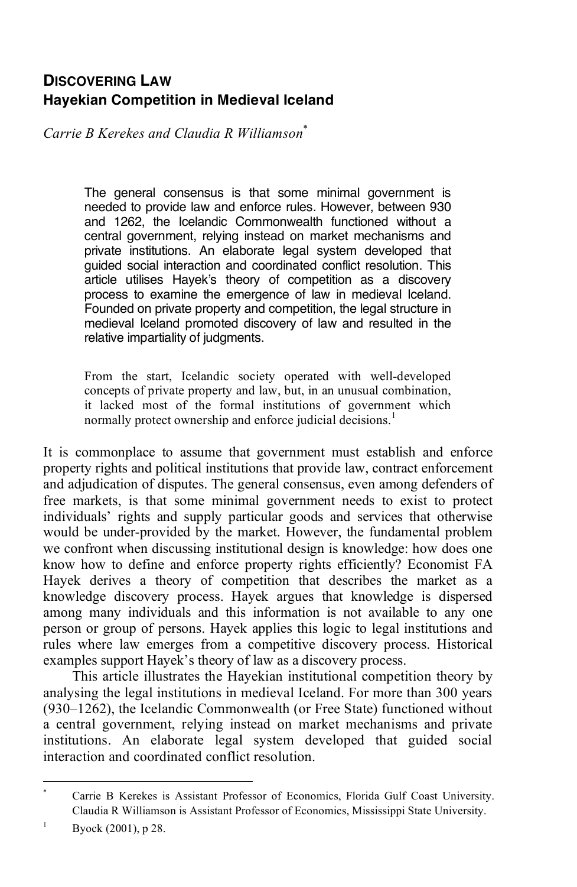## **DISCOVERING LAW Hayekian Competition in Medieval Iceland**

*Carrie B Kerekes and Claudia R Williamson*\*

The general consensus is that some minimal government is needed to provide law and enforce rules. However, between 930 and 1262, the Icelandic Commonwealth functioned without a central government, relying instead on market mechanisms and private institutions. An elaborate legal system developed that guided social interaction and coordinated conflict resolution. This article utilises Hayek's theory of competition as a discovery process to examine the emergence of law in medieval Iceland. Founded on private property and competition, the legal structure in medieval Iceland promoted discovery of law and resulted in the relative impartiality of judgments.

From the start, Icelandic society operated with well-developed concepts of private property and law, but, in an unusual combination, it lacked most of the formal institutions of government which normally protect ownership and enforce judicial decisions.<sup>1</sup>

It is commonplace to assume that government must establish and enforce property rights and political institutions that provide law, contract enforcement and adjudication of disputes. The general consensus, even among defenders of free markets, is that some minimal government needs to exist to protect individuals' rights and supply particular goods and services that otherwise would be under-provided by the market. However, the fundamental problem we confront when discussing institutional design is knowledge: how does one know how to define and enforce property rights efficiently? Economist FA Hayek derives a theory of competition that describes the market as a knowledge discovery process. Hayek argues that knowledge is dispersed among many individuals and this information is not available to any one person or group of persons. Hayek applies this logic to legal institutions and rules where law emerges from a competitive discovery process. Historical examples support Hayek's theory of law as a discovery process.

This article illustrates the Hayekian institutional competition theory by analysing the legal institutions in medieval Iceland. For more than 300 years (930–1262), the Icelandic Commonwealth (or Free State) functioned without a central government, relying instead on market mechanisms and private institutions. An elaborate legal system developed that guided social interaction and coordinated conflict resolution.

Byock (2001), p 28.

Carrie B Kerekes is Assistant Professor of Economics, Florida Gulf Coast University. Claudia R Williamson is Assistant Professor of Economics, Mississippi State University.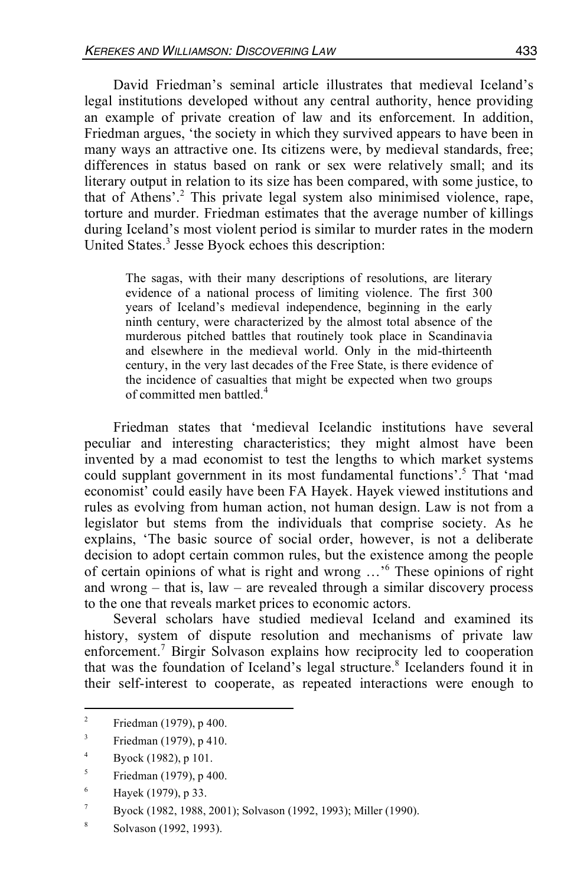David Friedman's seminal article illustrates that medieval Iceland's legal institutions developed without any central authority, hence providing an example of private creation of law and its enforcement. In addition, Friedman argues, 'the society in which they survived appears to have been in many ways an attractive one. Its citizens were, by medieval standards, free; differences in status based on rank or sex were relatively small; and its literary output in relation to its size has been compared, with some justice, to that of Athens'. <sup>2</sup> This private legal system also minimised violence, rape, torture and murder. Friedman estimates that the average number of killings during Iceland's most violent period is similar to murder rates in the modern United States.<sup>3</sup> Jesse Byock echoes this description:

The sagas, with their many descriptions of resolutions, are literary evidence of a national process of limiting violence. The first 300 years of Iceland's medieval independence, beginning in the early ninth century, were characterized by the almost total absence of the murderous pitched battles that routinely took place in Scandinavia and elsewhere in the medieval world. Only in the mid-thirteenth century, in the very last decades of the Free State, is there evidence of the incidence of casualties that might be expected when two groups of committed men battled.<sup>4</sup>

Friedman states that 'medieval Icelandic institutions have several peculiar and interesting characteristics; they might almost have been invented by a mad economist to test the lengths to which market systems could supplant government in its most fundamental functions'.<sup>5</sup> That 'mad economist' could easily have been FA Hayek. Hayek viewed institutions and rules as evolving from human action, not human design. Law is not from a legislator but stems from the individuals that comprise society. As he explains, 'The basic source of social order, however, is not a deliberate decision to adopt certain common rules, but the existence among the people of certain opinions of what is right and wrong …' 6 These opinions of right and wrong – that is, law – are revealed through a similar discovery process to the one that reveals market prices to economic actors.

Several scholars have studied medieval Iceland and examined its history, system of dispute resolution and mechanisms of private law enforcement.<sup>7</sup> Birgir Solvason explains how reciprocity led to cooperation that was the foundation of Iceland's legal structure.<sup>8</sup> Icelanders found it in their self-interest to cooperate, as repeated interactions were enough to

<sup>6</sup> Hayek (1979), p 33.

<sup>8</sup> Solvason (1992, 1993).

<sup>&</sup>lt;sup>2</sup> Friedman (1979), p 400.

 $3$  Friedman (1979), p 410.

<sup>4</sup> Byock (1982), p 101.

 $<sup>5</sup>$  Friedman (1979), p 400.</sup>

<sup>7</sup> Byock (1982, 1988, 2001); Solvason (1992, 1993); Miller (1990).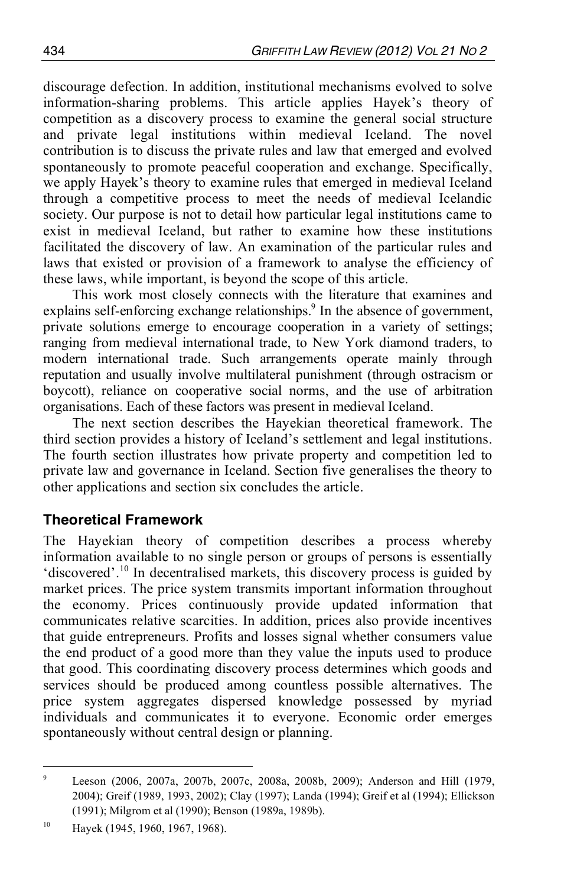discourage defection. In addition, institutional mechanisms evolved to solve information-sharing problems. This article applies Hayek's theory of competition as a discovery process to examine the general social structure and private legal institutions within medieval Iceland. The novel contribution is to discuss the private rules and law that emerged and evolved spontaneously to promote peaceful cooperation and exchange. Specifically, we apply Hayek's theory to examine rules that emerged in medieval Iceland through a competitive process to meet the needs of medieval Icelandic society. Our purpose is not to detail how particular legal institutions came to exist in medieval Iceland, but rather to examine how these institutions facilitated the discovery of law. An examination of the particular rules and laws that existed or provision of a framework to analyse the efficiency of these laws, while important, is beyond the scope of this article.

This work most closely connects with the literature that examines and explains self-enforcing exchange relationships.<sup>9</sup> In the absence of government, private solutions emerge to encourage cooperation in a variety of settings; ranging from medieval international trade, to New York diamond traders, to modern international trade. Such arrangements operate mainly through reputation and usually involve multilateral punishment (through ostracism or boycott), reliance on cooperative social norms, and the use of arbitration organisations. Each of these factors was present in medieval Iceland.

The next section describes the Hayekian theoretical framework. The third section provides a history of Iceland's settlement and legal institutions. The fourth section illustrates how private property and competition led to private law and governance in Iceland. Section five generalises the theory to other applications and section six concludes the article.

## **Theoretical Framework**

The Hayekian theory of competition describes a process whereby information available to no single person or groups of persons is essentially 'discovered'.<sup>10</sup> In decentralised markets, this discovery process is guided by market prices. The price system transmits important information throughout the economy. Prices continuously provide updated information that communicates relative scarcities. In addition, prices also provide incentives that guide entrepreneurs. Profits and losses signal whether consumers value the end product of a good more than they value the inputs used to produce that good. This coordinating discovery process determines which goods and services should be produced among countless possible alternatives. The price system aggregates dispersed knowledge possessed by myriad individuals and communicates it to everyone. Economic order emerges spontaneously without central design or planning.

 <sup>9</sup> Leeson (2006, 2007a, 2007b, 2007c, 2008a, 2008b, 2009); Anderson and Hill (1979, 2004); Greif (1989, 1993, 2002); Clay (1997); Landa (1994); Greif et al (1994); Ellickson (1991); Milgrom et al (1990); Benson (1989a, 1989b).

<sup>10</sup> Hayek (1945, 1960, 1967, 1968).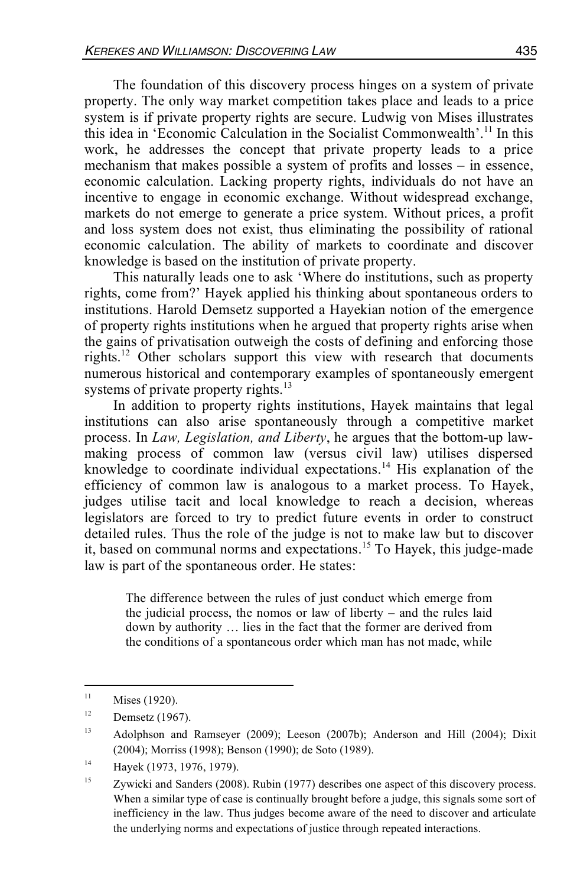The foundation of this discovery process hinges on a system of private property. The only way market competition takes place and leads to a price system is if private property rights are secure. Ludwig von Mises illustrates this idea in 'Economic Calculation in the Socialist Commonwealth'.<sup>11</sup> In this work, he addresses the concept that private property leads to a price mechanism that makes possible a system of profits and losses – in essence, economic calculation. Lacking property rights, individuals do not have an incentive to engage in economic exchange. Without widespread exchange, markets do not emerge to generate a price system. Without prices, a profit and loss system does not exist, thus eliminating the possibility of rational economic calculation. The ability of markets to coordinate and discover knowledge is based on the institution of private property.

This naturally leads one to ask 'Where do institutions, such as property rights, come from?' Hayek applied his thinking about spontaneous orders to institutions. Harold Demsetz supported a Hayekian notion of the emergence of property rights institutions when he argued that property rights arise when the gains of privatisation outweigh the costs of defining and enforcing those rights.12 Other scholars support this view with research that documents numerous historical and contemporary examples of spontaneously emergent systems of private property rights.<sup>13</sup>

In addition to property rights institutions, Hayek maintains that legal institutions can also arise spontaneously through a competitive market process. In *Law, Legislation, and Liberty*, he argues that the bottom-up lawmaking process of common law (versus civil law) utilises dispersed knowledge to coordinate individual expectations.<sup>14</sup> His explanation of the efficiency of common law is analogous to a market process. To Hayek, judges utilise tacit and local knowledge to reach a decision, whereas legislators are forced to try to predict future events in order to construct detailed rules. Thus the role of the judge is not to make law but to discover it, based on communal norms and expectations.<sup>15</sup> To Hayek, this judge-made law is part of the spontaneous order. He states:

The difference between the rules of just conduct which emerge from the judicial process, the nomos or law of liberty – and the rules laid down by authority … lies in the fact that the former are derived from the conditions of a spontaneous order which man has not made, while

 $11$  Mises (1920).

 $12$  Demsetz (1967).

<sup>&</sup>lt;sup>13</sup> Adolphson and Ramseyer (2009); Leeson (2007b); Anderson and Hill (2004); Dixit (2004); Morriss (1998); Benson (1990); de Soto (1989).

<sup>14</sup> Hayek (1973, 1976, 1979).

<sup>&</sup>lt;sup>15</sup> Zywicki and Sanders (2008). Rubin (1977) describes one aspect of this discovery process. When a similar type of case is continually brought before a judge, this signals some sort of inefficiency in the law. Thus judges become aware of the need to discover and articulate the underlying norms and expectations of justice through repeated interactions.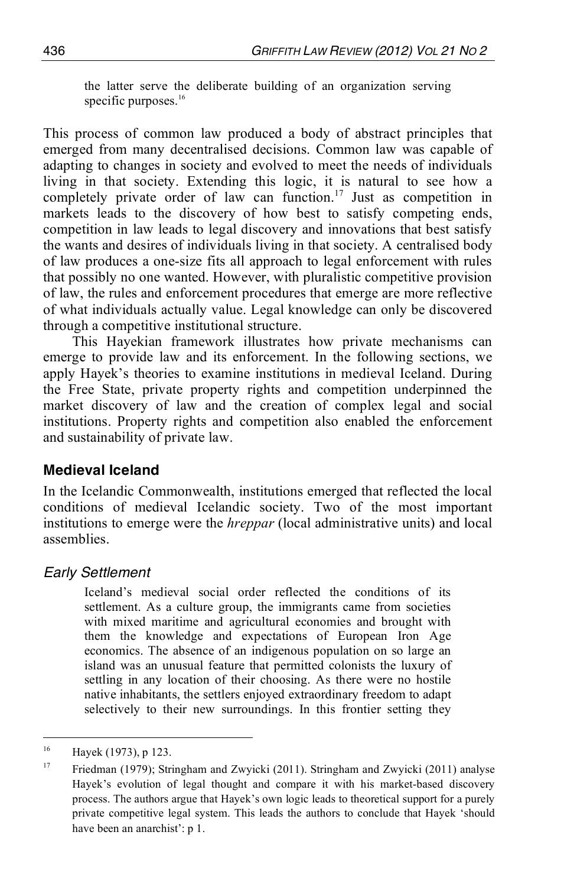the latter serve the deliberate building of an organization serving specific purposes.<sup>16</sup>

This process of common law produced a body of abstract principles that emerged from many decentralised decisions. Common law was capable of adapting to changes in society and evolved to meet the needs of individuals living in that society. Extending this logic, it is natural to see how a completely private order of law can function.<sup>17</sup> Just as competition in markets leads to the discovery of how best to satisfy competing ends, competition in law leads to legal discovery and innovations that best satisfy the wants and desires of individuals living in that society. A centralised body of law produces a one-size fits all approach to legal enforcement with rules that possibly no one wanted. However, with pluralistic competitive provision of law, the rules and enforcement procedures that emerge are more reflective of what individuals actually value. Legal knowledge can only be discovered through a competitive institutional structure.

This Hayekian framework illustrates how private mechanisms can emerge to provide law and its enforcement. In the following sections, we apply Hayek's theories to examine institutions in medieval Iceland. During the Free State, private property rights and competition underpinned the market discovery of law and the creation of complex legal and social institutions. Property rights and competition also enabled the enforcement and sustainability of private law.

## **Medieval Iceland**

In the Icelandic Commonwealth, institutions emerged that reflected the local conditions of medieval Icelandic society. Two of the most important institutions to emerge were the *hreppar* (local administrative units) and local assemblies.

## *Early Settlement*

Iceland's medieval social order reflected the conditions of its settlement. As a culture group, the immigrants came from societies with mixed maritime and agricultural economies and brought with them the knowledge and expectations of European Iron Age economics. The absence of an indigenous population on so large an island was an unusual feature that permitted colonists the luxury of settling in any location of their choosing. As there were no hostile native inhabitants, the settlers enjoyed extraordinary freedom to adapt selectively to their new surroundings. In this frontier setting they

 <sup>16</sup> Hayek (1973), p 123.

<sup>&</sup>lt;sup>17</sup> Friedman (1979); Stringham and Zwyicki (2011). Stringham and Zwyicki (2011) analyse Hayek's evolution of legal thought and compare it with his market-based discovery process. The authors argue that Hayek's own logic leads to theoretical support for a purely private competitive legal system. This leads the authors to conclude that Hayek 'should have been an anarchist': p 1.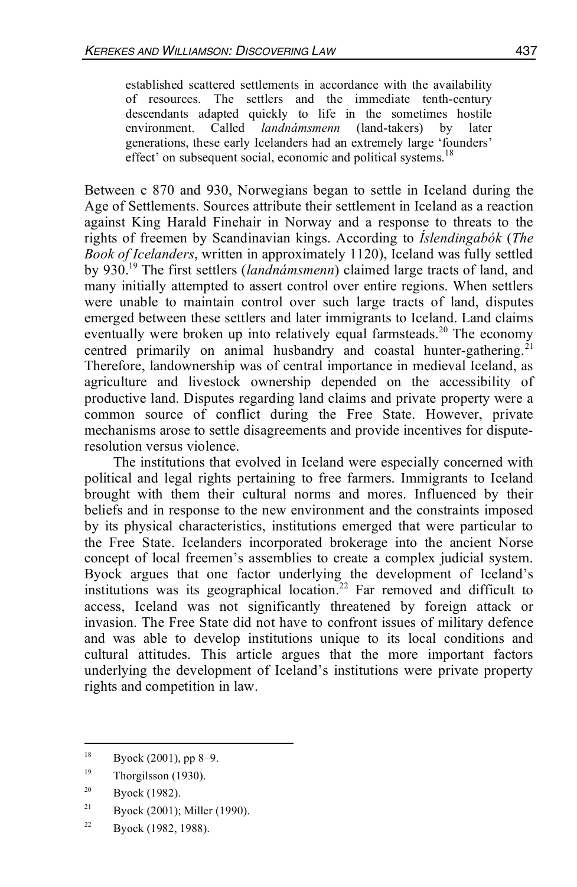established scattered settlements in accordance with the availability of resources. The settlers and the immediate tenth-century descendants adapted quickly to life in the sometimes hostile environment. Called *landnámsmenn* (land-takers) by later generations, these early Icelanders had an extremely large 'founders' effect' on subsequent social, economic and political systems.<sup>18</sup>

Between c 870 and 930, Norwegians began to settle in Iceland during the Age of Settlements. Sources attribute their settlement in Iceland as a reaction against King Harald Finehair in Norway and a response to threats to the rights of freemen by Scandinavian kings. According to *Íslendingabók* (*The Book of Icelanders*, written in approximately 1120), Iceland was fully settled by 930.19 The first settlers (*landnámsmenn*) claimed large tracts of land, and many initially attempted to assert control over entire regions. When settlers were unable to maintain control over such large tracts of land, disputes emerged between these settlers and later immigrants to Iceland. Land claims eventually were broken up into relatively equal farmsteads.<sup>20</sup> The economy centred primarily on animal husbandry and coastal hunter-gathering.<sup>21</sup> Therefore, landownership was of central importance in medieval Iceland, as agriculture and livestock ownership depended on the accessibility of productive land. Disputes regarding land claims and private property were a common source of conflict during the Free State. However, private mechanisms arose to settle disagreements and provide incentives for disputeresolution versus violence.

The institutions that evolved in Iceland were especially concerned with political and legal rights pertaining to free farmers. Immigrants to Iceland brought with them their cultural norms and mores. Influenced by their beliefs and in response to the new environment and the constraints imposed by its physical characteristics, institutions emerged that were particular to the Free State. Icelanders incorporated brokerage into the ancient Norse concept of local freemen's assemblies to create a complex judicial system. Byock argues that one factor underlying the development of Iceland's institutions was its geographical location.22 Far removed and difficult to access, Iceland was not significantly threatened by foreign attack or invasion. The Free State did not have to confront issues of military defence and was able to develop institutions unique to its local conditions and cultural attitudes. This article argues that the more important factors underlying the development of Iceland's institutions were private property rights and competition in law.

 $18$  Byock (2001), pp 8–9.

<sup>&</sup>lt;sup>19</sup> Thorgilsson (1930).

 $20$  Byock (1982).

<sup>&</sup>lt;sup>21</sup> Byock (2001); Miller (1990).

 $22$  Byock (1982, 1988).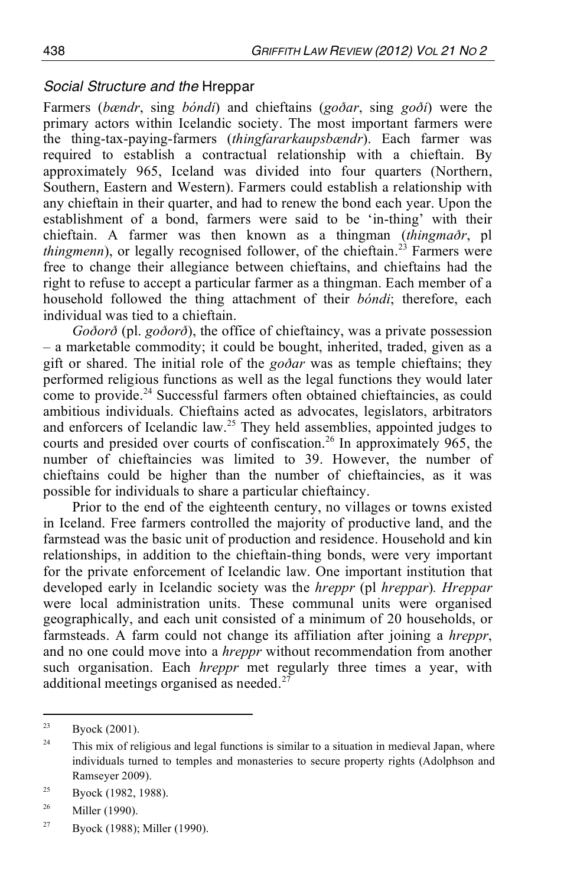### *Social Structure and the* Hreppar

Farmers (*bændr*, sing *bóndi*) and chieftains (*goðar*, sing *goði*) were the primary actors within Icelandic society. The most important farmers were the thing-tax-paying-farmers (*thingfararkaupsbændr*). Each farmer was required to establish a contractual relationship with a chieftain. By approximately 965, Iceland was divided into four quarters (Northern, Southern, Eastern and Western). Farmers could establish a relationship with any chieftain in their quarter, and had to renew the bond each year. Upon the establishment of a bond, farmers were said to be 'in-thing' with their chieftain. A farmer was then known as a thingman (*thingmaðr*, pl *thingmenn*), or legally recognised follower, of the chieftain.<sup>23</sup> Farmers were free to change their allegiance between chieftains, and chieftains had the right to refuse to accept a particular farmer as a thingman. Each member of a household followed the thing attachment of their *bóndi*; therefore, each individual was tied to a chieftain.

*Goðorð* (pl. *goðorð*), the office of chieftaincy, was a private possession – a marketable commodity; it could be bought, inherited, traded, given as a gift or shared. The initial role of the *goðar* was as temple chieftains; they performed religious functions as well as the legal functions they would later come to provide.<sup>24</sup> Successful farmers often obtained chieftaincies, as could ambitious individuals. Chieftains acted as advocates, legislators, arbitrators and enforcers of Icelandic law.25 They held assemblies, appointed judges to courts and presided over courts of confiscation.<sup>26</sup> In approximately 965, the number of chieftaincies was limited to 39. However, the number of chieftains could be higher than the number of chieftaincies, as it was possible for individuals to share a particular chieftaincy.

Prior to the end of the eighteenth century, no villages or towns existed in Iceland. Free farmers controlled the majority of productive land, and the farmstead was the basic unit of production and residence. Household and kin relationships, in addition to the chieftain-thing bonds, were very important for the private enforcement of Icelandic law. One important institution that developed early in Icelandic society was the *hreppr* (pl *hreppar*)*. Hreppar* were local administration units. These communal units were organised geographically, and each unit consisted of a minimum of 20 households, or farmsteads. A farm could not change its affiliation after joining a *hreppr*, and no one could move into a *hreppr* without recommendation from another such organisation. Each *hreppr* met regularly three times a year, with additional meetings organised as needed.<sup>27</sup>

<sup>&</sup>lt;sup>23</sup> Byock (2001).

 $24$  This mix of religious and legal functions is similar to a situation in medieval Japan, where individuals turned to temples and monasteries to secure property rights (Adolphson and Ramseyer 2009).

<sup>&</sup>lt;sup>25</sup> Byock (1982, 1988).

<sup>26</sup> Miller (1990).

<sup>&</sup>lt;sup>27</sup> Byock (1988); Miller (1990).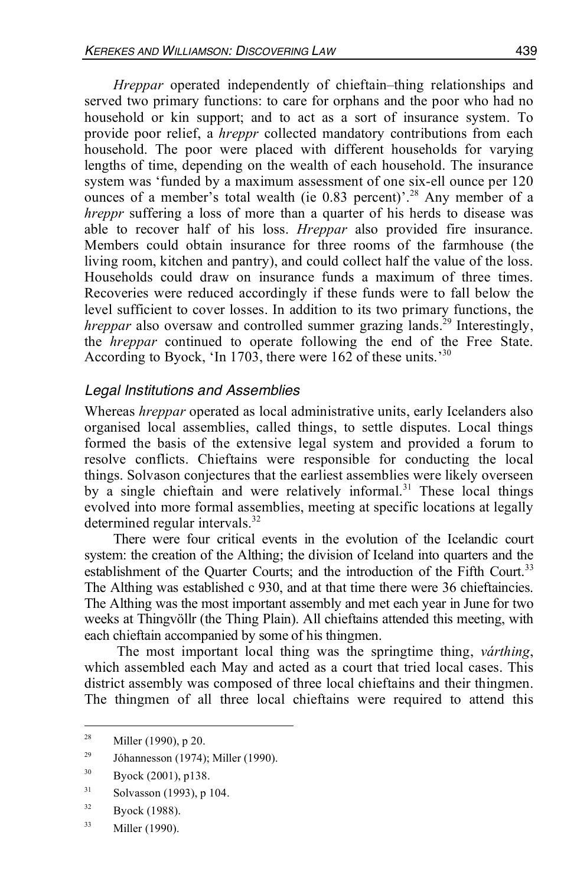*Hreppar* operated independently of chieftain–thing relationships and served two primary functions: to care for orphans and the poor who had no household or kin support; and to act as a sort of insurance system. To provide poor relief, a *hreppr* collected mandatory contributions from each household. The poor were placed with different households for varying lengths of time, depending on the wealth of each household. The insurance system was 'funded by a maximum assessment of one six-ell ounce per 120 ounces of a member's total wealth (ie 0.83 percent)'.<sup>28</sup> Any member of a *hreppr* suffering a loss of more than a quarter of his herds to disease was able to recover half of his loss. *Hreppar* also provided fire insurance. Members could obtain insurance for three rooms of the farmhouse (the living room, kitchen and pantry), and could collect half the value of the loss. Households could draw on insurance funds a maximum of three times. Recoveries were reduced accordingly if these funds were to fall below the level sufficient to cover losses. In addition to its two primary functions, the *hreppar* also oversaw and controlled summer grazing lands.<sup>29</sup> Interestingly, the *hreppar* continued to operate following the end of the Free State. According to Byock, 'In 1703, there were 162 of these units.'30

### *Legal Institutions and Assemblies*

Whereas *hreppar* operated as local administrative units, early Icelanders also organised local assemblies, called things, to settle disputes. Local things formed the basis of the extensive legal system and provided a forum to resolve conflicts. Chieftains were responsible for conducting the local things. Solvason conjectures that the earliest assemblies were likely overseen by a single chieftain and were relatively informal.<sup>31</sup> These local things evolved into more formal assemblies, meeting at specific locations at legally determined regular intervals.<sup>32</sup>

There were four critical events in the evolution of the Icelandic court system: the creation of the Althing; the division of Iceland into quarters and the establishment of the Quarter Courts; and the introduction of the Fifth Court.<sup>33</sup> The Althing was established c 930, and at that time there were 36 chieftaincies. The Althing was the most important assembly and met each year in June for two weeks at Thingvöllr (the Thing Plain). All chieftains attended this meeting, with each chieftain accompanied by some of his thingmen.

 The most important local thing was the springtime thing, *várthing*, which assembled each May and acted as a court that tried local cases. This district assembly was composed of three local chieftains and their thingmen. The thingmen of all three local chieftains were required to attend this

- <sup>31</sup> Solvasson (1993), p 104.
- $32$  Byock (1988).
- <sup>33</sup> Miller (1990).

<sup>&</sup>lt;sup>28</sup> Miller (1990), p 20.

<sup>&</sup>lt;sup>29</sup> Jóhannesson (1974); Miller (1990).

 $30$  Byock (2001), p138.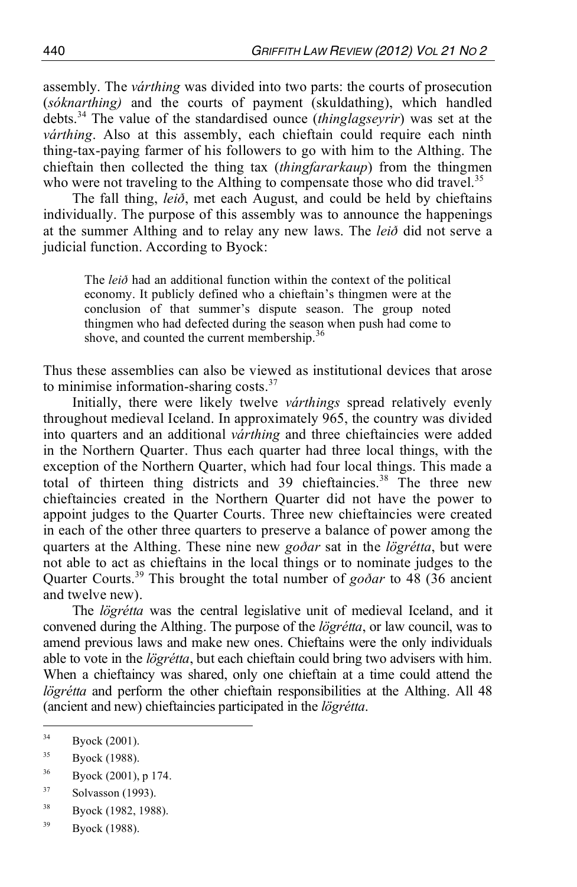assembly. The *várthing* was divided into two parts: the courts of prosecution (*sóknarthing)* and the courts of payment (skuldathing), which handled debts.34 The value of the standardised ounce (*thinglagseyrir*) was set at the *várthing*. Also at this assembly, each chieftain could require each ninth thing-tax-paying farmer of his followers to go with him to the Althing. The chieftain then collected the thing tax (*thingfararkaup*) from the thingmen who were not traveling to the Althing to compensate those who did travel.<sup>35</sup>

The fall thing, *leið*, met each August, and could be held by chieftains individually. The purpose of this assembly was to announce the happenings at the summer Althing and to relay any new laws. The *leið* did not serve a judicial function. According to Byock:

The *leið* had an additional function within the context of the political economy. It publicly defined who a chieftain's thingmen were at the conclusion of that summer's dispute season. The group noted thingmen who had defected during the season when push had come to shove, and counted the current membership.<sup>36</sup>

Thus these assemblies can also be viewed as institutional devices that arose to minimise information-sharing costs.<sup>37</sup>

Initially, there were likely twelve *várthings* spread relatively evenly throughout medieval Iceland. In approximately 965, the country was divided into quarters and an additional *várthing* and three chieftaincies were added in the Northern Quarter. Thus each quarter had three local things, with the exception of the Northern Quarter, which had four local things. This made a total of thirteen thing districts and 39 chieftaincies.<sup>38</sup> The three new chieftaincies created in the Northern Quarter did not have the power to appoint judges to the Quarter Courts. Three new chieftaincies were created in each of the other three quarters to preserve a balance of power among the quarters at the Althing. These nine new *goðar* sat in the *lögrétta*, but were not able to act as chieftains in the local things or to nominate judges to the Quarter Courts.39 This brought the total number of *goðar* to 48 (36 ancient and twelve new).

The *lögrétta* was the central legislative unit of medieval Iceland, and it convened during the Althing. The purpose of the *lögrétta*, or law council, was to amend previous laws and make new ones. Chieftains were the only individuals able to vote in the *lögrétta*, but each chieftain could bring two advisers with him. When a chieftaincy was shared, only one chieftain at a time could attend the *lögrétta* and perform the other chieftain responsibilities at the Althing. All 48 (ancient and new) chieftaincies participated in the *lögrétta*.

 $34$  Byock (2001).

 $35$  Byock (1988).

<sup>36</sup> Byock (2001), p 174.

<sup>37</sup> Solvasson (1993).

<sup>38</sup> Byock (1982, 1988).

<sup>39</sup> Byock (1988).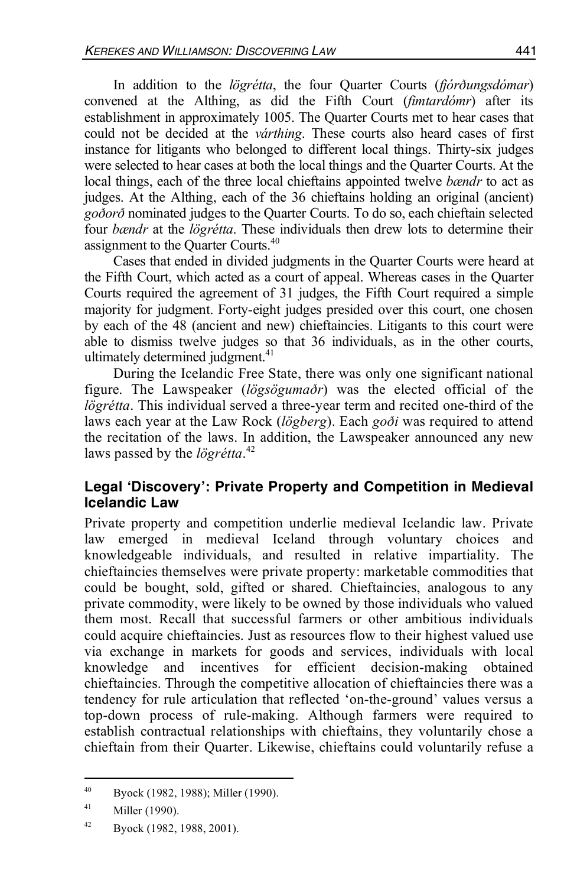In addition to the *lögrétta*, the four Quarter Courts (*fjórðungsdómar*) convened at the Althing, as did the Fifth Court (*fimtardómr*) after its establishment in approximately 1005. The Quarter Courts met to hear cases that could not be decided at the *várthing*. These courts also heard cases of first instance for litigants who belonged to different local things. Thirty-six judges were selected to hear cases at both the local things and the Quarter Courts. At the local things, each of the three local chieftains appointed twelve *bændr* to act as judges. At the Althing, each of the 36 chieftains holding an original (ancient) *goðorð* nominated judges to the Quarter Courts. To do so, each chieftain selected four *bændr* at the *lögrétta*. These individuals then drew lots to determine their assignment to the Quarter Courts.<sup>40</sup>

Cases that ended in divided judgments in the Quarter Courts were heard at the Fifth Court, which acted as a court of appeal. Whereas cases in the Quarter Courts required the agreement of 31 judges, the Fifth Court required a simple majority for judgment. Forty-eight judges presided over this court, one chosen by each of the 48 (ancient and new) chieftaincies. Litigants to this court were able to dismiss twelve judges so that 36 individuals, as in the other courts, ultimately determined judgment.<sup>41</sup>

During the Icelandic Free State, there was only one significant national figure. The Lawspeaker (*lögsögumaðr*) was the elected official of the *lögrétta*. This individual served a three-year term and recited one-third of the laws each year at the Law Rock (*lögberg*). Each *goði* was required to attend the recitation of the laws. In addition, the Lawspeaker announced any new laws passed by the *lögrétta*. 42

## **Legal ʻDiscovery': Private Property and Competition in Medieval Icelandic Law**

Private property and competition underlie medieval Icelandic law. Private law emerged in medieval Iceland through voluntary choices and knowledgeable individuals, and resulted in relative impartiality. The chieftaincies themselves were private property: marketable commodities that could be bought, sold, gifted or shared. Chieftaincies, analogous to any private commodity, were likely to be owned by those individuals who valued them most. Recall that successful farmers or other ambitious individuals could acquire chieftaincies. Just as resources flow to their highest valued use via exchange in markets for goods and services, individuals with local knowledge and incentives for efficient decision-making obtained chieftaincies. Through the competitive allocation of chieftaincies there was a tendency for rule articulation that reflected 'on-the-ground' values versus a top-down process of rule-making. Although farmers were required to establish contractual relationships with chieftains, they voluntarily chose a chieftain from their Quarter. Likewise, chieftains could voluntarily refuse a

 <sup>40</sup> Byock (1982, 1988); Miller (1990).

<sup>41</sup> Miller (1990).

<sup>42</sup> Byock (1982, 1988, 2001).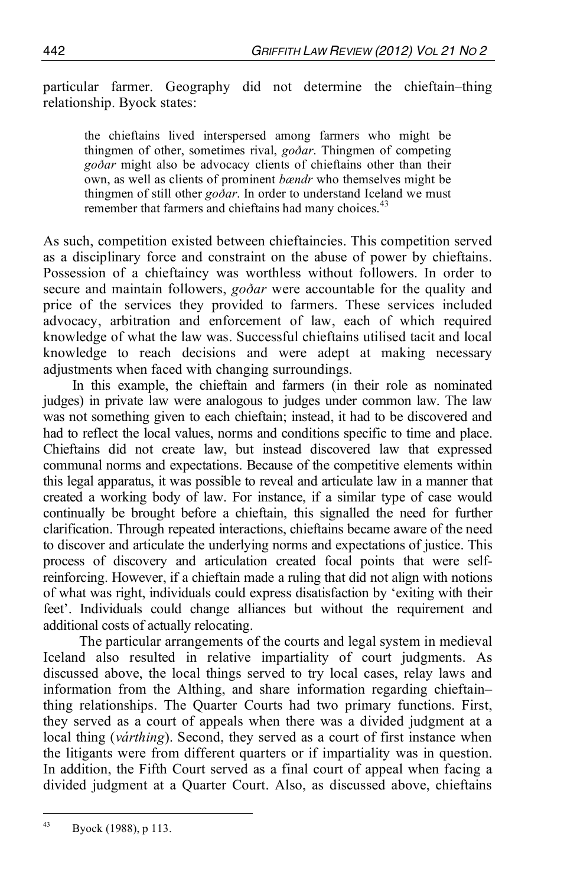particular farmer. Geography did not determine the chieftain–thing relationship. Byock states:

the chieftains lived interspersed among farmers who might be thingmen of other, sometimes rival, *goðar*. Thingmen of competing *goðar* might also be advocacy clients of chieftains other than their own, as well as clients of prominent *bændr* who themselves might be thingmen of still other *goðar*. In order to understand Iceland we must remember that farmers and chieftains had many choices.<sup>43</sup>

As such, competition existed between chieftaincies. This competition served as a disciplinary force and constraint on the abuse of power by chieftains. Possession of a chieftaincy was worthless without followers. In order to secure and maintain followers, *goðar* were accountable for the quality and price of the services they provided to farmers. These services included advocacy, arbitration and enforcement of law, each of which required knowledge of what the law was. Successful chieftains utilised tacit and local knowledge to reach decisions and were adept at making necessary adjustments when faced with changing surroundings.

In this example, the chieftain and farmers (in their role as nominated judges) in private law were analogous to judges under common law. The law was not something given to each chieftain; instead, it had to be discovered and had to reflect the local values, norms and conditions specific to time and place. Chieftains did not create law, but instead discovered law that expressed communal norms and expectations. Because of the competitive elements within this legal apparatus, it was possible to reveal and articulate law in a manner that created a working body of law. For instance, if a similar type of case would continually be brought before a chieftain, this signalled the need for further clarification. Through repeated interactions, chieftains became aware of the need to discover and articulate the underlying norms and expectations of justice. This process of discovery and articulation created focal points that were selfreinforcing. However, if a chieftain made a ruling that did not align with notions of what was right, individuals could express disatisfaction by 'exiting with their feet'. Individuals could change alliances but without the requirement and additional costs of actually relocating.

 The particular arrangements of the courts and legal system in medieval Iceland also resulted in relative impartiality of court judgments. As discussed above, the local things served to try local cases, relay laws and information from the Althing, and share information regarding chieftain– thing relationships. The Quarter Courts had two primary functions. First, they served as a court of appeals when there was a divided judgment at a local thing (*várthing*). Second, they served as a court of first instance when the litigants were from different quarters or if impartiality was in question. In addition, the Fifth Court served as a final court of appeal when facing a divided judgment at a Quarter Court. Also, as discussed above, chieftains

 <sup>43</sup> Byock (1988), p 113.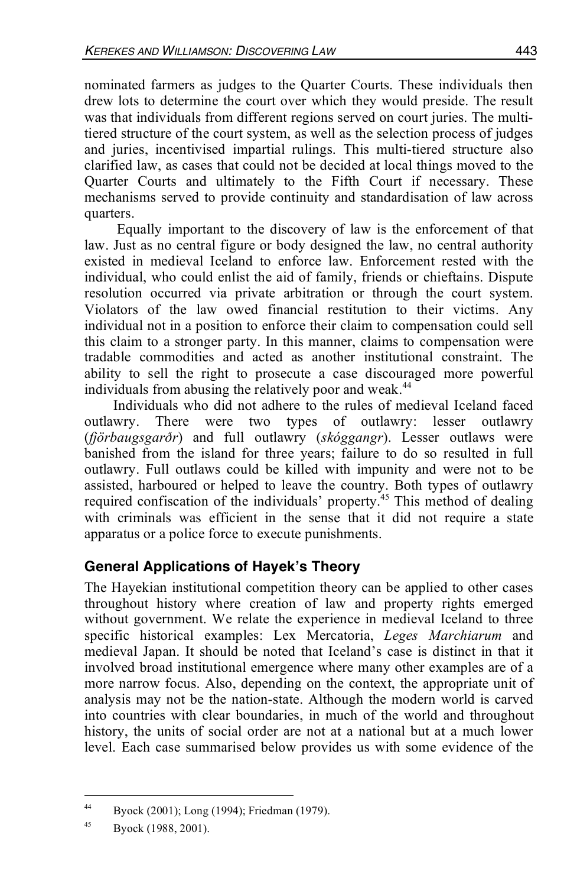nominated farmers as judges to the Quarter Courts. These individuals then drew lots to determine the court over which they would preside. The result was that individuals from different regions served on court juries. The multitiered structure of the court system, as well as the selection process of judges and juries, incentivised impartial rulings. This multi-tiered structure also clarified law, as cases that could not be decided at local things moved to the Quarter Courts and ultimately to the Fifth Court if necessary. These mechanisms served to provide continuity and standardisation of law across quarters.

 Equally important to the discovery of law is the enforcement of that law. Just as no central figure or body designed the law, no central authority existed in medieval Iceland to enforce law. Enforcement rested with the individual, who could enlist the aid of family, friends or chieftains. Dispute resolution occurred via private arbitration or through the court system. Violators of the law owed financial restitution to their victims. Any individual not in a position to enforce their claim to compensation could sell this claim to a stronger party. In this manner, claims to compensation were tradable commodities and acted as another institutional constraint. The ability to sell the right to prosecute a case discouraged more powerful individuals from abusing the relatively poor and weak.<sup>44</sup>

Individuals who did not adhere to the rules of medieval Iceland faced outlawry. There were two types of outlawry: lesser outlawry (*fjörbaugsgarðr*) and full outlawry (*skóggangr*). Lesser outlaws were banished from the island for three years; failure to do so resulted in full outlawry. Full outlaws could be killed with impunity and were not to be assisted, harboured or helped to leave the country. Both types of outlawry required confiscation of the individuals' property.45 This method of dealing with criminals was efficient in the sense that it did not require a state apparatus or a police force to execute punishments.

## **General Applications of Hayek's Theory**

The Hayekian institutional competition theory can be applied to other cases throughout history where creation of law and property rights emerged without government. We relate the experience in medieval Iceland to three specific historical examples: Lex Mercatoria, *Leges Marchiarum* and medieval Japan. It should be noted that Iceland's case is distinct in that it involved broad institutional emergence where many other examples are of a more narrow focus. Also, depending on the context, the appropriate unit of analysis may not be the nation-state. Although the modern world is carved into countries with clear boundaries, in much of the world and throughout history, the units of social order are not at a national but at a much lower level. Each case summarised below provides us with some evidence of the

 <sup>44</sup> Byock (2001); Long (1994); Friedman (1979).

<sup>45</sup> Byock (1988, 2001).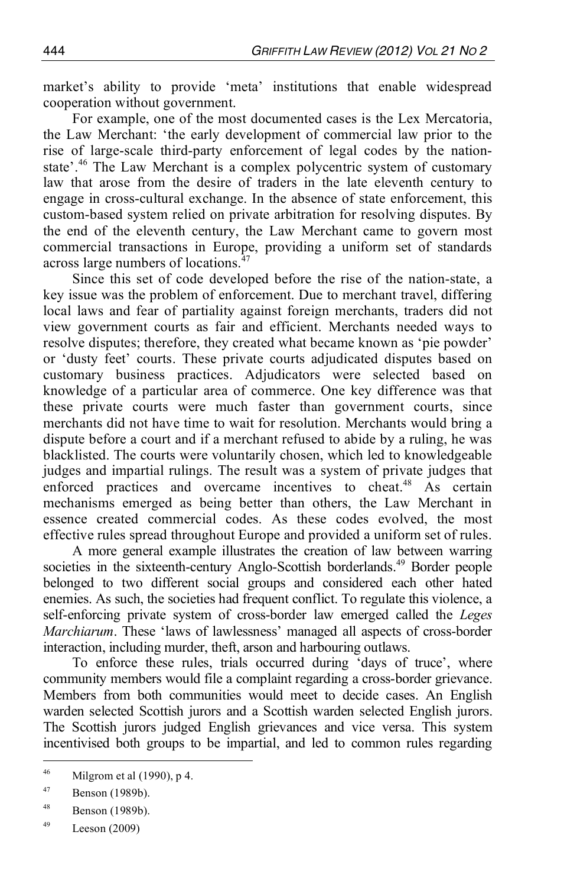market's ability to provide 'meta' institutions that enable widespread cooperation without government.

For example, one of the most documented cases is the Lex Mercatoria, the Law Merchant: 'the early development of commercial law prior to the rise of large-scale third-party enforcement of legal codes by the nationstate'.46 The Law Merchant is a complex polycentric system of customary law that arose from the desire of traders in the late eleventh century to engage in cross-cultural exchange. In the absence of state enforcement, this custom-based system relied on private arbitration for resolving disputes. By the end of the eleventh century, the Law Merchant came to govern most commercial transactions in Europe, providing a uniform set of standards across large numbers of locations. 47

Since this set of code developed before the rise of the nation-state, a key issue was the problem of enforcement. Due to merchant travel, differing local laws and fear of partiality against foreign merchants, traders did not view government courts as fair and efficient. Merchants needed ways to resolve disputes; therefore, they created what became known as 'pie powder' or 'dusty feet' courts. These private courts adjudicated disputes based on customary business practices. Adjudicators were selected based on knowledge of a particular area of commerce. One key difference was that these private courts were much faster than government courts, since merchants did not have time to wait for resolution. Merchants would bring a dispute before a court and if a merchant refused to abide by a ruling, he was blacklisted. The courts were voluntarily chosen, which led to knowledgeable judges and impartial rulings. The result was a system of private judges that enforced practices and overcame incentives to cheat.<sup>48</sup> As certain mechanisms emerged as being better than others, the Law Merchant in essence created commercial codes. As these codes evolved, the most effective rules spread throughout Europe and provided a uniform set of rules.

A more general example illustrates the creation of law between warring societies in the sixteenth-century Anglo-Scottish borderlands.<sup>49</sup> Border people belonged to two different social groups and considered each other hated enemies. As such, the societies had frequent conflict. To regulate this violence, a self-enforcing private system of cross-border law emerged called the *Leges Marchiarum*. These 'laws of lawlessness' managed all aspects of cross-border interaction, including murder, theft, arson and harbouring outlaws.

To enforce these rules, trials occurred during 'days of truce', where community members would file a complaint regarding a cross-border grievance. Members from both communities would meet to decide cases. An English warden selected Scottish jurors and a Scottish warden selected English jurors. The Scottish jurors judged English grievances and vice versa. This system incentivised both groups to be impartial, and led to common rules regarding

<sup>&</sup>lt;sup>46</sup> Milgrom et al  $(1990)$ , p 4.

<sup>47</sup> Benson (1989b).

<sup>48</sup> Benson (1989b).

 $49$  Leeson (2009)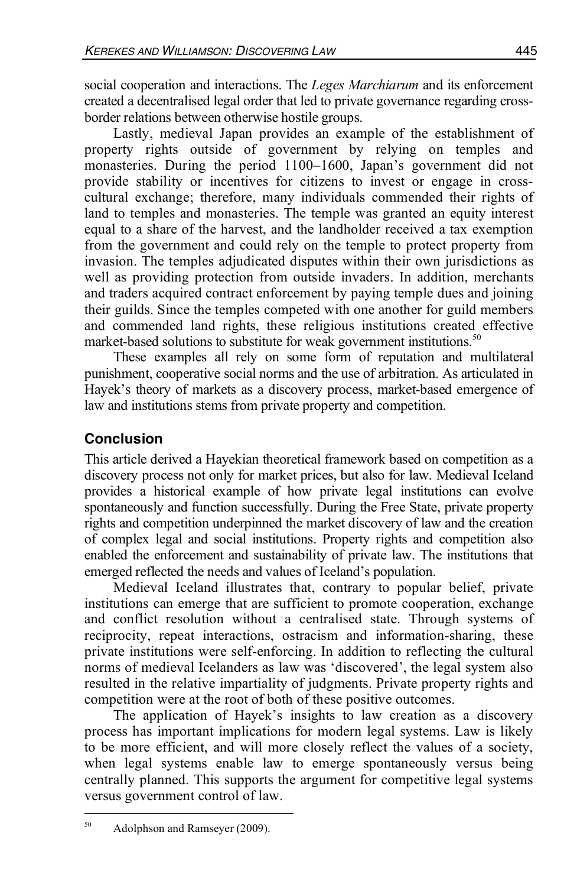social cooperation and interactions. The *Leges Marchiarum* and its enforcement created a decentralised legal order that led to private governance regarding crossborder relations between otherwise hostile groups.

Lastly, medieval Japan provides an example of the establishment of property rights outside of government by relying on temples and monasteries. During the period 1100–1600, Japan's government did not provide stability or incentives for citizens to invest or engage in crosscultural exchange; therefore, many individuals commended their rights of land to temples and monasteries. The temple was granted an equity interest equal to a share of the harvest, and the landholder received a tax exemption from the government and could rely on the temple to protect property from invasion. The temples adjudicated disputes within their own jurisdictions as well as providing protection from outside invaders. In addition, merchants and traders acquired contract enforcement by paying temple dues and joining their guilds. Since the temples competed with one another for guild members and commended land rights, these religious institutions created effective market-based solutions to substitute for weak government institutions.<sup>50</sup>

These examples all rely on some form of reputation and multilateral punishment, cooperative social norms and the use of arbitration. As articulated in Hayek's theory of markets as a discovery process, market-based emergence of law and institutions stems from private property and competition.

# **Conclusion**

This article derived a Hayekian theoretical framework based on competition as a discovery process not only for market prices, but also for law. Medieval Iceland provides a historical example of how private legal institutions can evolve spontaneously and function successfully. During the Free State, private property rights and competition underpinned the market discovery of law and the creation of complex legal and social institutions. Property rights and competition also enabled the enforcement and sustainability of private law. The institutions that emerged reflected the needs and values of Iceland's population.

Medieval Iceland illustrates that, contrary to popular belief, private institutions can emerge that are sufficient to promote cooperation, exchange and conflict resolution without a centralised state. Through systems of reciprocity, repeat interactions, ostracism and information-sharing, these private institutions were self-enforcing. In addition to reflecting the cultural norms of medieval Icelanders as law was 'discovered', the legal system also resulted in the relative impartiality of judgments. Private property rights and competition were at the root of both of these positive outcomes.

The application of Hayek's insights to law creation as a discovery process has important implications for modern legal systems. Law is likely to be more efficient, and will more closely reflect the values of a society, when legal systems enable law to emerge spontaneously versus being centrally planned. This supports the argument for competitive legal systems versus government control of law.

 <sup>50</sup> Adolphson and Ramseyer (2009).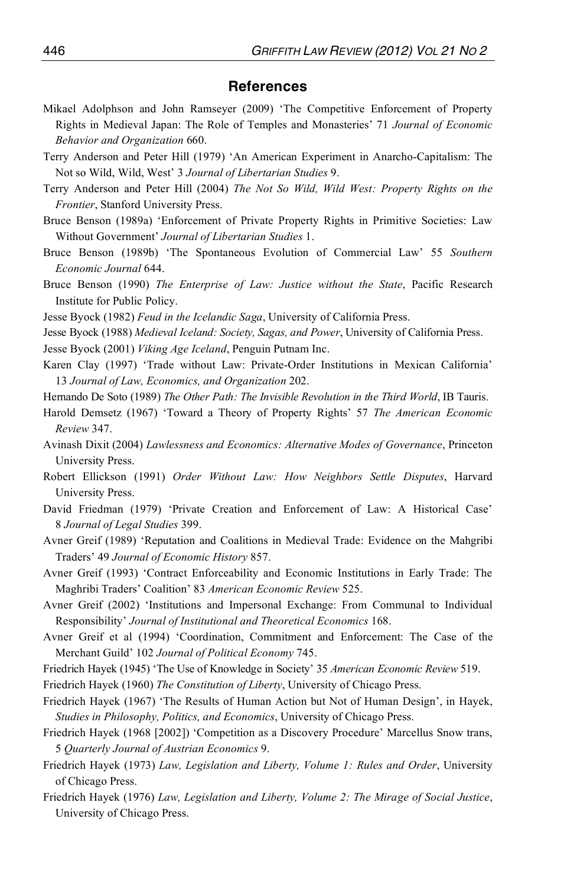#### **References**

- Mikael Adolphson and John Ramseyer (2009) 'The Competitive Enforcement of Property Rights in Medieval Japan: The Role of Temples and Monasteries' 71 *Journal of Economic Behavior and Organization* 660.
- Terry Anderson and Peter Hill (1979) 'An American Experiment in Anarcho-Capitalism: The Not so Wild, Wild, West' 3 *Journal of Libertarian Studies* 9.
- Terry Anderson and Peter Hill (2004) *The Not So Wild, Wild West: Property Rights on the Frontier*, Stanford University Press.
- Bruce Benson (1989a) 'Enforcement of Private Property Rights in Primitive Societies: Law Without Government' *Journal of Libertarian Studies* 1.
- Bruce Benson (1989b) 'The Spontaneous Evolution of Commercial Law' 55 *Southern Economic Journal* 644.
- Bruce Benson (1990) *The Enterprise of Law: Justice without the State*, Pacific Research Institute for Public Policy.
- Jesse Byock (1982) *Feud in the Icelandic Saga*, University of California Press.
- Jesse Byock (1988) *Medieval Iceland: Society, Sagas, and Power*, University of California Press.
- Jesse Byock (2001) *Viking Age Iceland*, Penguin Putnam Inc.
- Karen Clay (1997) 'Trade without Law: Private-Order Institutions in Mexican California' 13 *Journal of Law, Economics, and Organization* 202.
- Hernando De Soto (1989) *The Other Path: The Invisible Revolution in the Third World*, IB Tauris.
- Harold Demsetz (1967) 'Toward a Theory of Property Rights' 57 *The American Economic Review* 347.
- Avinash Dixit (2004) *Lawlessness and Economics: Alternative Modes of Governance*, Princeton University Press.
- Robert Ellickson (1991) *Order Without Law: How Neighbors Settle Disputes*, Harvard University Press.
- David Friedman (1979) 'Private Creation and Enforcement of Law: A Historical Case' 8 *Journal of Legal Studies* 399.
- Avner Greif (1989) 'Reputation and Coalitions in Medieval Trade: Evidence on the Mahgribi Traders' 49 *Journal of Economic History* 857.
- Avner Greif (1993) 'Contract Enforceability and Economic Institutions in Early Trade: The Maghribi Traders' Coalition' 83 *American Economic Review* 525.
- Avner Greif (2002) 'Institutions and Impersonal Exchange: From Communal to Individual Responsibility' *Journal of Institutional and Theoretical Economics* 168.
- Avner Greif et al (1994) 'Coordination, Commitment and Enforcement: The Case of the Merchant Guild' 102 *Journal of Political Economy* 745.
- Friedrich Hayek (1945) 'The Use of Knowledge in Society' 35 *American Economic Review* 519.
- Friedrich Hayek (1960) *The Constitution of Liberty*, University of Chicago Press.
- Friedrich Hayek (1967) 'The Results of Human Action but Not of Human Design', in Hayek, *Studies in Philosophy, Politics, and Economics*, University of Chicago Press.
- Friedrich Hayek (1968 [2002]) 'Competition as a Discovery Procedure' Marcellus Snow trans, 5 *Quarterly Journal of Austrian Economics* 9.
- Friedrich Hayek (1973) *Law, Legislation and Liberty, Volume 1: Rules and Order*, University of Chicago Press.
- Friedrich Hayek (1976) *Law, Legislation and Liberty, Volume 2: The Mirage of Social Justice*, University of Chicago Press.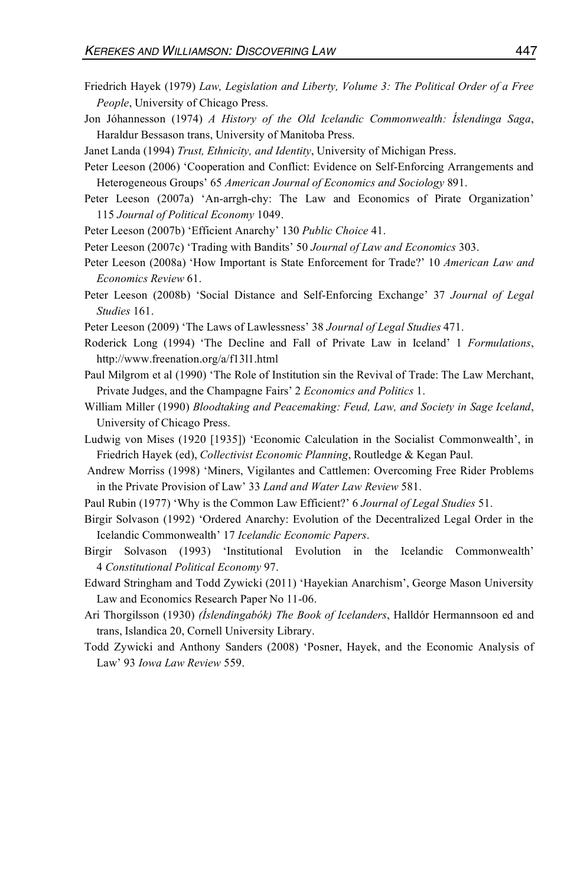- Friedrich Hayek (1979) *Law, Legislation and Liberty, Volume 3: The Political Order of a Free People*, University of Chicago Press.
- Jon Jóhannesson (1974) *A History of the Old Icelandic Commonwealth: Íslendinga Saga*, Haraldur Bessason trans, University of Manitoba Press.
- Janet Landa (1994) *Trust, Ethnicity, and Identity*, University of Michigan Press.

Peter Leeson (2006) 'Cooperation and Conflict: Evidence on Self-Enforcing Arrangements and Heterogeneous Groups' 65 *American Journal of Economics and Sociology* 891.

- Peter Leeson (2007a) 'An-arrgh-chy: The Law and Economics of Pirate Organization' 115 *Journal of Political Economy* 1049.
- Peter Leeson (2007b) 'Efficient Anarchy' 130 *Public Choice* 41.
- Peter Leeson (2007c) 'Trading with Bandits' 50 *Journal of Law and Economics* 303.
- Peter Leeson (2008a) 'How Important is State Enforcement for Trade?' 10 *American Law and Economics Review* 61.
- Peter Leeson (2008b) 'Social Distance and Self-Enforcing Exchange' 37 *Journal of Legal Studies* 161.
- Peter Leeson (2009) 'The Laws of Lawlessness' 38 *Journal of Legal Studies* 471.
- Roderick Long (1994) 'The Decline and Fall of Private Law in Iceland' 1 *Formulations*, http://www.freenation.org/a/f13l1.html
- Paul Milgrom et al (1990) 'The Role of Institution sin the Revival of Trade: The Law Merchant, Private Judges, and the Champagne Fairs' 2 *Economics and Politics* 1.
- William Miller (1990) *Bloodtaking and Peacemaking: Feud, Law, and Society in Sage Iceland*, University of Chicago Press.
- Ludwig von Mises (1920 [1935]) 'Economic Calculation in the Socialist Commonwealth', in Friedrich Hayek (ed), *Collectivist Economic Planning*, Routledge & Kegan Paul.
- Andrew Morriss (1998) 'Miners, Vigilantes and Cattlemen: Overcoming Free Rider Problems in the Private Provision of Law' 33 *Land and Water Law Review* 581.
- Paul Rubin (1977) 'Why is the Common Law Efficient?' 6 *Journal of Legal Studies* 51.
- Birgir Solvason (1992) 'Ordered Anarchy: Evolution of the Decentralized Legal Order in the Icelandic Commonwealth' 17 *Icelandic Economic Papers*.
- Birgir Solvason (1993) 'Institutional Evolution in the Icelandic Commonwealth' 4 *Constitutional Political Economy* 97.
- Edward Stringham and Todd Zywicki (2011) 'Hayekian Anarchism', George Mason University Law and Economics Research Paper No 11-06.
- Ari Thorgilsson (1930) *(Íslendingabók) The Book of Icelanders*, Halldór Hermannsoon ed and trans, Islandica 20, Cornell University Library.
- Todd Zywicki and Anthony Sanders (2008) 'Posner, Hayek, and the Economic Analysis of Law' 93 *Iowa Law Review* 559.